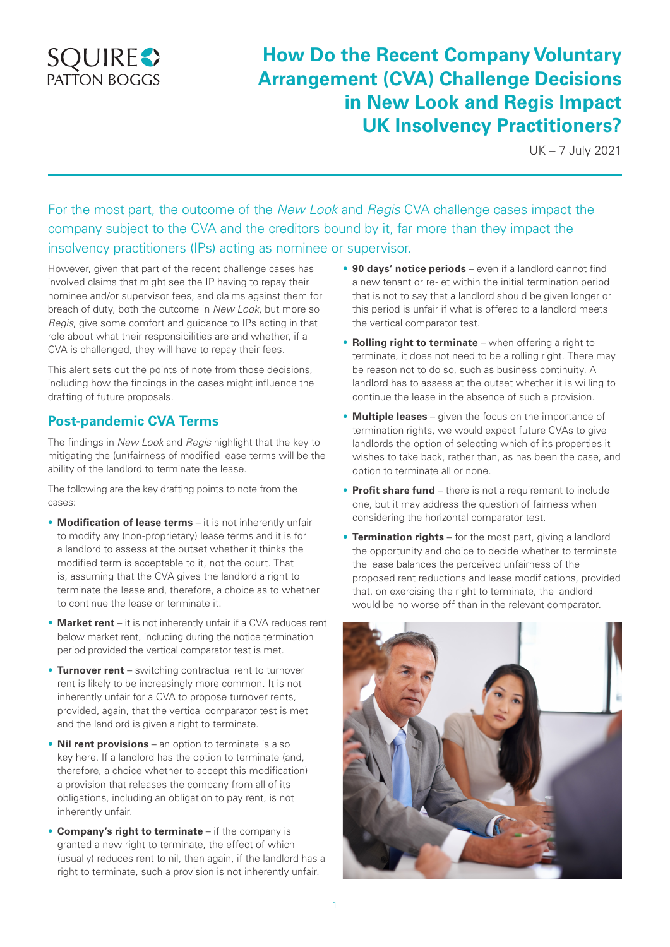# **SQUIRE**<sup>2</sup>

# **How Do the Recent Company Voluntary Arrangement (CVA) Challenge Decisions in New Look and Regis Impact UK Insolvency Practitioners?**

UK – 7 July 2021

For the most part, the outcome of the *New Look* and *Regis* CVA challenge cases impact the company subject to the CVA and the creditors bound by it, far more than they impact the insolvency practitioners (IPs) acting as nominee or supervisor.

However, given that part of the recent challenge cases has involved claims that might see the IP having to repay their nominee and/or supervisor fees, and claims against them for breach of duty, both the outcome in *New Look*, but more so *Regis*, give some comfort and guidance to IPs acting in that role about what their responsibilities are and whether, if a CVA is challenged, they will have to repay their fees.

This alert sets out the points of note from those decisions, including how the findings in the cases might influence the drafting of future proposals.

# **Post-pandemic CVA Terms**

The findings in *New Look* and *Regis* highlight that the key to mitigating the (un)fairness of modified lease terms will be the ability of the landlord to terminate the lease.

The following are the key drafting points to note from the cases:

- **Modification of lease terms** it is not inherently unfair to modify any (non-proprietary) lease terms and it is for a landlord to assess at the outset whether it thinks the modified term is acceptable to it, not the court. That is, assuming that the CVA gives the landlord a right to terminate the lease and, therefore, a choice as to whether to continue the lease or terminate it.
- **Market rent** it is not inherently unfair if a CVA reduces rent below market rent, including during the notice termination period provided the vertical comparator test is met.
- **Turnover rent** switching contractual rent to turnover rent is likely to be increasingly more common. It is not inherently unfair for a CVA to propose turnover rents, provided, again, that the vertical comparator test is met and the landlord is given a right to terminate.
- **Nil rent provisions** an option to terminate is also key here. If a landlord has the option to terminate (and, therefore, a choice whether to accept this modification) a provision that releases the company from all of its obligations, including an obligation to pay rent, is not inherently unfair.
- **Company's right to terminate**  if the company is granted a new right to terminate, the effect of which (usually) reduces rent to nil, then again, if the landlord has a right to terminate, such a provision is not inherently unfair.
- **90 days' notice periods**  even if a landlord cannot find a new tenant or re-let within the initial termination period that is not to say that a landlord should be given longer or this period is unfair if what is offered to a landlord meets the vertical comparator test.
- **Rolling right to terminate** when offering a right to terminate, it does not need to be a rolling right. There may be reason not to do so, such as business continuity. A landlord has to assess at the outset whether it is willing to continue the lease in the absence of such a provision.
- **Multiple leases**  given the focus on the importance of termination rights, we would expect future CVAs to give landlords the option of selecting which of its properties it wishes to take back, rather than, as has been the case, and option to terminate all or none.
- **Profit share fund**  there is not a requirement to include one, but it may address the question of fairness when considering the horizontal comparator test.
- **Termination rights** for the most part, giving a landlord the opportunity and choice to decide whether to terminate the lease balances the perceived unfairness of the proposed rent reductions and lease modifications, provided that, on exercising the right to terminate, the landlord would be no worse off than in the relevant comparator.

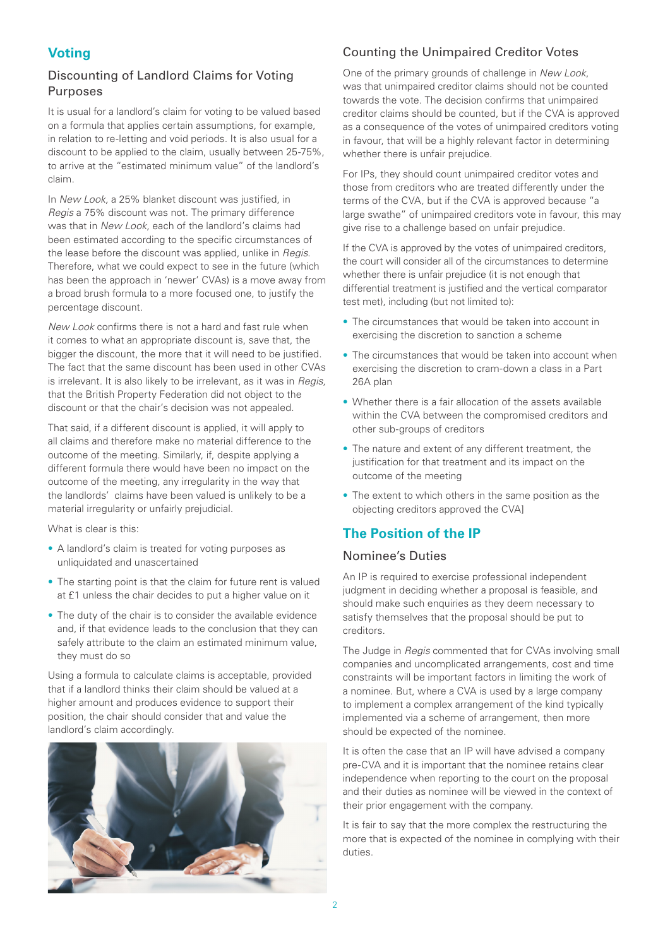# **Voting**

#### Discounting of Landlord Claims for Voting Purposes

It is usual for a landlord's claim for voting to be valued based on a formula that applies certain assumptions, for example, in relation to re-letting and void periods. It is also usual for a discount to be applied to the claim, usually between 25-75%, to arrive at the "estimated minimum value" of the landlord's claim.

In *New Look,* a 25% blanket discount was justified, in *Regis* a 75% discount was not. The primary difference was that in *New Look,* each of the landlord's claims had been estimated according to the specific circumstances of the lease before the discount was applied, unlike in *Regis*. Therefore, what we could expect to see in the future (which has been the approach in 'newer' CVAs) is a move away from a broad brush formula to a more focused one, to justify the percentage discount.

*New Look* confirms there is not a hard and fast rule when it comes to what an appropriate discount is, save that, the bigger the discount, the more that it will need to be justified. The fact that the same discount has been used in other CVAs is irrelevant. It is also likely to be irrelevant, as it was in *Regis,* that the British Property Federation did not object to the discount or that the chair's decision was not appealed.

That said, if a different discount is applied, it will apply to all claims and therefore make no material difference to the outcome of the meeting. Similarly, if, despite applying a different formula there would have been no impact on the outcome of the meeting, any irregularity in the way that the landlords' claims have been valued is unlikely to be a material irregularity or unfairly prejudicial.

What is clear is this:

- A landlord's claim is treated for voting purposes as unliquidated and unascertained
- The starting point is that the claim for future rent is valued at £1 unless the chair decides to put a higher value on it
- The duty of the chair is to consider the available evidence and, if that evidence leads to the conclusion that they can safely attribute to the claim an estimated minimum value, they must do so

Using a formula to calculate claims is acceptable, provided that if a landlord thinks their claim should be valued at a higher amount and produces evidence to support their position, the chair should consider that and value the landlord's claim accordingly.



# Counting the Unimpaired Creditor Votes

One of the primary grounds of challenge in *New Look*, was that unimpaired creditor claims should not be counted towards the vote. The decision confirms that unimpaired creditor claims should be counted, but if the CVA is approved as a consequence of the votes of unimpaired creditors voting in favour, that will be a highly relevant factor in determining whether there is unfair prejudice.

For IPs, they should count unimpaired creditor votes and those from creditors who are treated differently under the terms of the CVA, but if the CVA is approved because "a large swathe" of unimpaired creditors vote in favour, this may give rise to a challenge based on unfair prejudice.

If the CVA is approved by the votes of unimpaired creditors, the court will consider all of the circumstances to determine whether there is unfair prejudice (it is not enough that differential treatment is justified and the vertical comparator test met), including (but not limited to):

- The circumstances that would be taken into account in exercising the discretion to sanction a scheme
- The circumstances that would be taken into account when exercising the discretion to cram-down a class in a Part 26A plan
- Whether there is a fair allocation of the assets available within the CVA between the compromised creditors and other sub-groups of creditors
- The nature and extent of any different treatment, the justification for that treatment and its impact on the outcome of the meeting
- The extent to which others in the same position as the objecting creditors approved the CVA]

# **The Position of the IP**

#### Nominee's Duties

An IP is required to exercise professional independent judgment in deciding whether a proposal is feasible, and should make such enquiries as they deem necessary to satisfy themselves that the proposal should be put to creditors.

The Judge in *Regis* commented that for CVAs involving small companies and uncomplicated arrangements, cost and time constraints will be important factors in limiting the work of a nominee. But, where a CVA is used by a large company to implement a complex arrangement of the kind typically implemented via a scheme of arrangement, then more should be expected of the nominee.

It is often the case that an IP will have advised a company pre-CVA and it is important that the nominee retains clear independence when reporting to the court on the proposal and their duties as nominee will be viewed in the context of their prior engagement with the company.

It is fair to say that the more complex the restructuring the more that is expected of the nominee in complying with their duties.